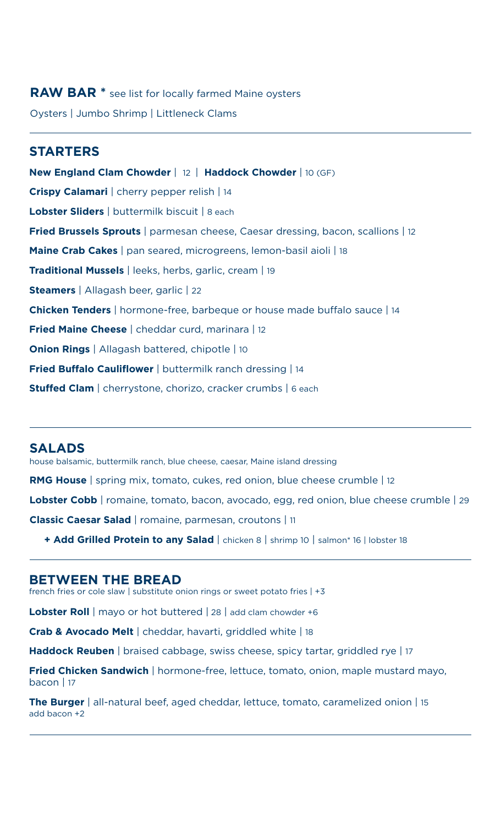# **RAW BAR \*** see list for locally farmed Maine oysters Oysters | Jumbo Shrimp | Littleneck Clams

### **STARTERS**

**New England Clam Chowder** | 12 | **Haddock Chowder** | 10 (GF) **Crispy Calamari** | cherry pepper relish | 14 **Lobster Sliders** | buttermilk biscuit | 8 each **Fried Brussels Sprouts** | parmesan cheese, Caesar dressing, bacon, scallions | 12 **Maine Crab Cakes** | pan seared, microgreens, lemon-basil aioli | 18 **Traditional Mussels** | leeks, herbs, garlic, cream | 19 **Steamers** | Allagash beer, garlic | 22 **Chicken Tenders** | hormone-free, barbeque or house made buffalo sauce | 14 **Fried Maine Cheese** | cheddar curd, marinara | 12 **Onion Rings** | Allagash battered, chipotle | 10 **Fried Buffalo Cauliflower** | buttermilk ranch dressing | 14 **Stuffed Clam** | cherrystone, chorizo, cracker crumbs | 6 each

#### **SALADS**

house balsamic, buttermilk ranch, blue cheese, caesar, Maine island dressing **RMG House** | spring mix, tomato, cukes, red onion, blue cheese crumble | 12 Lobster Cobb | romaine, tomato, bacon, avocado, egg, red onion, blue cheese crumble | 29 **Classic Caesar Salad** | romaine, parmesan, croutons | 11

 **+ Add Grilled Protein to any Salad** | chicken 8 | shrimp 10 | salmon\* 16 | lobster 18

### **BETWEEN THE BREAD**

french fries or cole slaw | substitute onion rings or sweet potato fries | +3

**Lobster Roll** | mayo or hot buttered | 28 | add clam chowder +6

**Crab & Avocado Melt** | cheddar, havarti, griddled white | 18

**Haddock Reuben** | braised cabbage, swiss cheese, spicy tartar, griddled rye | 17

**Fried Chicken Sandwich** | hormone-free, lettuce, tomato, onion, maple mustard mayo, bacon |  $17$ 

**The Burger** | all-natural beef, aged cheddar, lettuce, tomato, caramelized onion | 15 add bacon +2